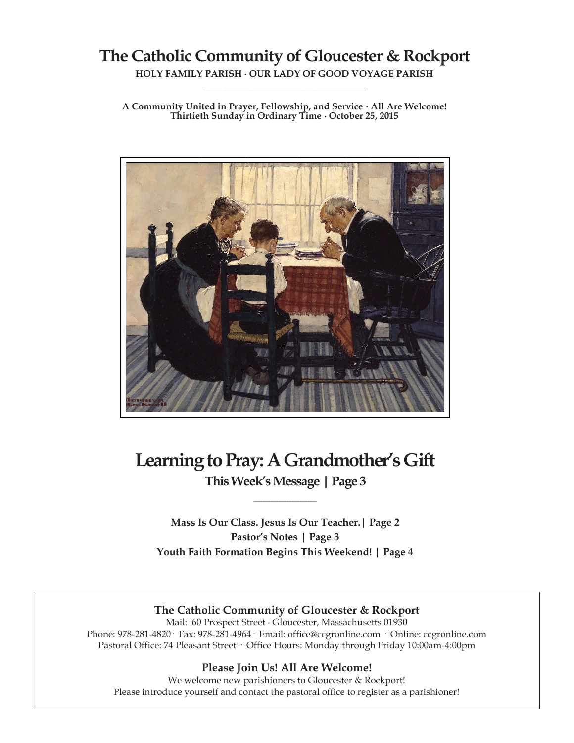## **The Catholic Community of Gloucester & Rockport**

**HOLY FAMILY PARISH ∙ OUR LADY OF GOOD VOYAGE PARISH \_\_\_\_\_\_\_\_\_\_\_\_\_\_\_\_\_\_\_\_\_\_\_\_\_\_\_\_\_\_\_\_\_\_\_\_\_\_\_\_\_\_\_\_\_\_\_\_\_\_**

**A Community United in Prayer, Fellowship, and Service ∙ All Are Welcome! Thirtieth Sunday in Ordinary Time ∙ October 25, 2015**



# **Learning to Pray: A Grandmother's Gift**

**This Week's Message | Page 3 \_\_\_\_\_\_\_\_\_\_\_\_\_\_\_\_\_\_\_\_\_\_\_\_**

**Mass Is Our Class. Jesus Is Our Teacher.| Page 2 Pastor's Notes | Page 3 Youth Faith Formation Begins This Weekend! | Page 4**

## **The Catholic Community of Gloucester & Rockport**

Mail: 60 Prospect Street ∙ Gloucester, Massachusetts 01930 Phone: 978-281-4820· Fax: 978-281-4964· Email: office@ccgronline.com · Online: ccgronline.com Pastoral Office: 74 Pleasant Street · Office Hours: Monday through Friday 10:00am-4:00pm

## **Please Join Us! All Are Welcome!**

We welcome new parishioners to Gloucester & Rockport! Please introduce yourself and contact the pastoral office to register as a parishioner!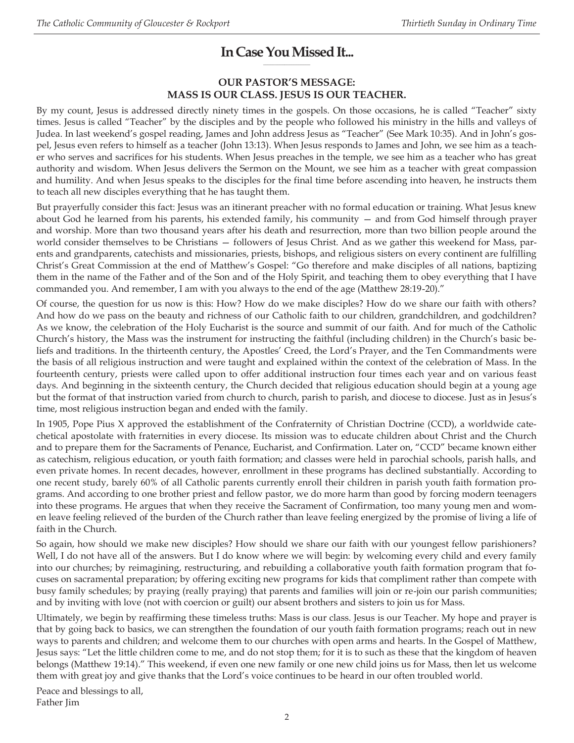#### **In Case You Missed It... \_\_\_\_\_\_\_\_\_\_\_\_\_\_\_\_\_\_\_\_**

## **OUR PASTOR'S MESSAGE: MASS IS OUR CLASS. JESUS IS OUR TEACHER.**

By my count, Jesus is addressed directly ninety times in the gospels. On those occasions, he is called "Teacher" sixty times. Jesus is called "Teacher" by the disciples and by the people who followed his ministry in the hills and valleys of Judea. In last weekend's gospel reading, James and John address Jesus as "Teacher" (See Mark 10:35). And in John's gospel, Jesus even refers to himself as a teacher (John 13:13). When Jesus responds to James and John, we see him as a teacher who serves and sacrifices for his students. When Jesus preaches in the temple, we see him as a teacher who has great authority and wisdom. When Jesus delivers the Sermon on the Mount, we see him as a teacher with great compassion and humility. And when Jesus speaks to the disciples for the final time before ascending into heaven, he instructs them to teach all new disciples everything that he has taught them.

But prayerfully consider this fact: Jesus was an itinerant preacher with no formal education or training. What Jesus knew about God he learned from his parents, his extended family, his community — and from God himself through prayer and worship. More than two thousand years after his death and resurrection, more than two billion people around the world consider themselves to be Christians — followers of Jesus Christ. And as we gather this weekend for Mass, parents and grandparents, catechists and missionaries, priests, bishops, and religious sisters on every continent are fulfilling Christ's Great Commission at the end of Matthew's Gospel: "Go therefore and make disciples of all nations, baptizing them in the name of the Father and of the Son and of the Holy Spirit, and teaching them to obey everything that I have commanded you. And remember, I am with you always to the end of the age (Matthew 28:19-20)."

Of course, the question for us now is this: How? How do we make disciples? How do we share our faith with others? And how do we pass on the beauty and richness of our Catholic faith to our children, grandchildren, and godchildren? As we know, the celebration of the Holy Eucharist is the source and summit of our faith. And for much of the Catholic Church's history, the Mass was the instrument for instructing the faithful (including children) in the Church's basic beliefs and traditions. In the thirteenth century, the Apostles' Creed, the Lord's Prayer, and the Ten Commandments were the basis of all religious instruction and were taught and explained within the context of the celebration of Mass. In the fourteenth century, priests were called upon to offer additional instruction four times each year and on various feast days. And beginning in the sixteenth century, the Church decided that religious education should begin at a young age but the format of that instruction varied from church to church, parish to parish, and diocese to diocese. Just as in Jesus's time, most religious instruction began and ended with the family.

In 1905, Pope Pius X approved the establishment of the Confraternity of Christian Doctrine (CCD), a worldwide catechetical apostolate with fraternities in every diocese. Its mission was to educate children about Christ and the Church and to prepare them for the Sacraments of Penance, Eucharist, and Confirmation. Later on, "CCD" became known either as catechism, religious education, or youth faith formation; and classes were held in parochial schools, parish halls, and even private homes. In recent decades, however, enrollment in these programs has declined substantially. According to one recent study, barely 60% of all Catholic parents currently enroll their children in parish youth faith formation programs. And according to one brother priest and fellow pastor, we do more harm than good by forcing modern teenagers into these programs. He argues that when they receive the Sacrament of Confirmation, too many young men and women leave feeling relieved of the burden of the Church rather than leave feeling energized by the promise of living a life of faith in the Church.

So again, how should we make new disciples? How should we share our faith with our youngest fellow parishioners? Well, I do not have all of the answers. But I do know where we will begin: by welcoming every child and every family into our churches; by reimagining, restructuring, and rebuilding a collaborative youth faith formation program that focuses on sacramental preparation; by offering exciting new programs for kids that compliment rather than compete with busy family schedules; by praying (really praying) that parents and families will join or re-join our parish communities; and by inviting with love (not with coercion or guilt) our absent brothers and sisters to join us for Mass.

Ultimately, we begin by reaffirming these timeless truths: Mass is our class. Jesus is our Teacher. My hope and prayer is that by going back to basics, we can strengthen the foundation of our youth faith formation programs; reach out in new ways to parents and children; and welcome them to our churches with open arms and hearts. In the Gospel of Matthew, Jesus says: "Let the little children come to me, and do not stop them; for it is to such as these that the kingdom of heaven belongs (Matthew 19:14)." This weekend, if even one new family or one new child joins us for Mass, then let us welcome them with great joy and give thanks that the Lord's voice continues to be heard in our often troubled world.

Peace and blessings to all, Father Jim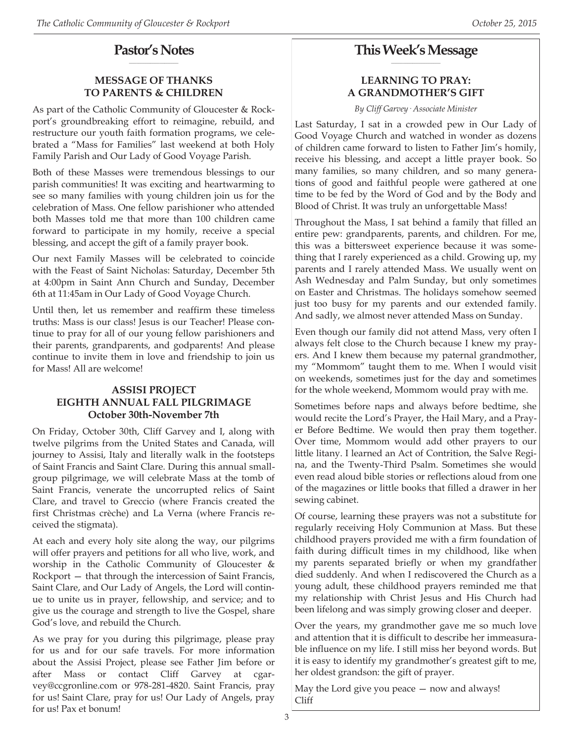#### **Pastor's Notes \_\_\_\_\_\_\_\_\_\_\_\_\_\_\_\_\_\_\_\_\_**

## **MESSAGE OF THANKS TO PARENTS & CHILDREN**

As part of the Catholic Community of Gloucester & Rockport's groundbreaking effort to reimagine, rebuild, and restructure our youth faith formation programs, we celebrated a "Mass for Families" last weekend at both Holy Family Parish and Our Lady of Good Voyage Parish.

Both of these Masses were tremendous blessings to our parish communities! It was exciting and heartwarming to see so many families with young children join us for the celebration of Mass. One fellow parishioner who attended both Masses told me that more than 100 children came forward to participate in my homily, receive a special blessing, and accept the gift of a family prayer book.

Our next Family Masses will be celebrated to coincide with the Feast of Saint Nicholas: Saturday, December 5th at 4:00pm in Saint Ann Church and Sunday, December 6th at 11:45am in Our Lady of Good Voyage Church.

Until then, let us remember and reaffirm these timeless truths: Mass is our class! Jesus is our Teacher! Please continue to pray for all of our young fellow parishioners and their parents, grandparents, and godparents! And please continue to invite them in love and friendship to join us for Mass! All are welcome!

## **ASSISI PROJECT EIGHTH ANNUAL FALL PILGRIMAGE October 30th-November 7th**

On Friday, October 30th, Cliff Garvey and I, along with twelve pilgrims from the United States and Canada, will journey to Assisi, Italy and literally walk in the footsteps of Saint Francis and Saint Clare. During this annual smallgroup pilgrimage, we will celebrate Mass at the tomb of Saint Francis, venerate the uncorrupted relics of Saint Clare, and travel to Greccio (where Francis created the first Christmas crèche) and La Verna (where Francis received the stigmata).

At each and every holy site along the way, our pilgrims will offer prayers and petitions for all who live, work, and worship in the Catholic Community of Gloucester & Rockport — that through the intercession of Saint Francis, Saint Clare, and Our Lady of Angels, the Lord will continue to unite us in prayer, fellowship, and service; and to give us the courage and strength to live the Gospel, share God's love, and rebuild the Church.

As we pray for you during this pilgrimage, please pray for us and for our safe travels. For more information about the Assisi Project, please see Father Jim before or after Mass or contact Cliff Garvey at cgarvey@ccgronline.com or 978-281-4820. Saint Francis, pray for us! Saint Clare, pray for us! Our Lady of Angels, pray for us! Pax et bonum!

#### **This Week's Message \_\_\_\_\_\_\_\_\_\_\_\_\_\_\_\_\_\_\_\_\_**

## **LEARNING TO PRAY: A GRANDMOTHER'S GIFT**

*By Cliff Garvey· Associate Minister*

Last Saturday, I sat in a crowded pew in Our Lady of Good Voyage Church and watched in wonder as dozens of children came forward to listen to Father Jim's homily, receive his blessing, and accept a little prayer book. So many families, so many children, and so many generations of good and faithful people were gathered at one time to be fed by the Word of God and by the Body and Blood of Christ. It was truly an unforgettable Mass!

Throughout the Mass, I sat behind a family that filled an entire pew: grandparents, parents, and children. For me, this was a bittersweet experience because it was something that I rarely experienced as a child. Growing up, my parents and I rarely attended Mass. We usually went on Ash Wednesday and Palm Sunday, but only sometimes on Easter and Christmas. The holidays somehow seemed just too busy for my parents and our extended family. And sadly, we almost never attended Mass on Sunday.

Even though our family did not attend Mass, very often I always felt close to the Church because I knew my prayers. And I knew them because my paternal grandmother, my "Mommom" taught them to me. When I would visit on weekends, sometimes just for the day and sometimes for the whole weekend, Mommom would pray with me.

Sometimes before naps and always before bedtime, she would recite the Lord's Prayer, the Hail Mary, and a Prayer Before Bedtime. We would then pray them together. Over time, Mommom would add other prayers to our little litany. I learned an Act of Contrition, the Salve Regina, and the Twenty-Third Psalm. Sometimes she would even read aloud bible stories or reflections aloud from one of the magazines or little books that filled a drawer in her sewing cabinet.

Of course, learning these prayers was not a substitute for regularly receiving Holy Communion at Mass. But these childhood prayers provided me with a firm foundation of faith during difficult times in my childhood, like when my parents separated briefly or when my grandfather died suddenly. And when I rediscovered the Church as a young adult, these childhood prayers reminded me that my relationship with Christ Jesus and His Church had been lifelong and was simply growing closer and deeper.

Over the years, my grandmother gave me so much love and attention that it is difficult to describe her immeasurable influence on my life. I still miss her beyond words. But it is easy to identify my grandmother's greatest gift to me, her oldest grandson: the gift of prayer.

May the Lord give you peace — now and always! Cliff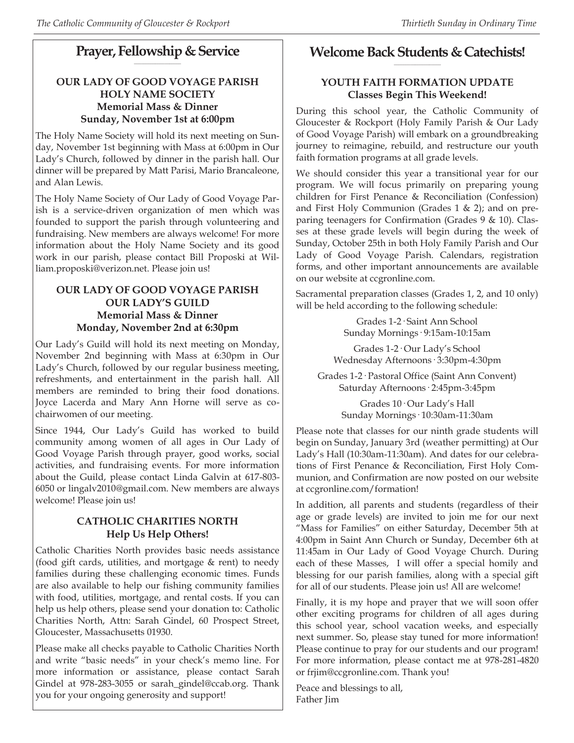#### **Prayer, Fellowship & Service \_\_\_\_\_\_\_\_\_\_\_\_\_\_\_\_\_\_\_\_**

## **OUR LADY OF GOOD VOYAGE PARISH HOLY NAME SOCIETY Memorial Mass & Dinner Sunday, November 1st at 6:00pm**

The Holy Name Society will hold its next meeting on Sunday, November 1st beginning with Mass at 6:00pm in Our Lady's Church, followed by dinner in the parish hall. Our dinner will be prepared by Matt Parisi, Mario Brancaleone, and Alan Lewis.

The Holy Name Society of Our Lady of Good Voyage Parish is a service-driven organization of men which was founded to support the parish through volunteering and fundraising. New members are always welcome! For more information about the Holy Name Society and its good work in our parish, please contact Bill Proposki at William.proposki@verizon.net. Please join us!

## **OUR LADY OF GOOD VOYAGE PARISH OUR LADY'S GUILD Memorial Mass & Dinner Monday, November 2nd at 6:30pm**

Our Lady's Guild will hold its next meeting on Monday, November 2nd beginning with Mass at 6:30pm in Our Lady's Church, followed by our regular business meeting, refreshments, and entertainment in the parish hall. All members are reminded to bring their food donations. Joyce Lacerda and Mary Ann Horne will serve as cochairwomen of our meeting.

Since 1944, Our Lady's Guild has worked to build community among women of all ages in Our Lady of Good Voyage Parish through prayer, good works, social activities, and fundraising events. For more information about the Guild, please contact Linda Galvin at 617-803- 6050 or lingalv2010@gmail.com. New members are always welcome! Please join us!

## **CATHOLIC CHARITIES NORTH Help Us Help Others!**

Catholic Charities North provides basic needs assistance (food gift cards, utilities, and mortgage & rent) to needy families during these challenging economic times. Funds are also available to help our fishing community families with food, utilities, mortgage, and rental costs. If you can help us help others, please send your donation to: Catholic Charities North, Attn: Sarah Gindel, 60 Prospect Street, Gloucester, Massachusetts 01930.

Please make all checks payable to Catholic Charities North and write "basic needs" in your check's memo line. For more information or assistance, please contact Sarah Gindel at 978-283-3055 or sarah\_gindel@ccab.org. Thank you for your ongoing generosity and support!

#### **Welcome Back Students & Catechists! \_\_\_\_\_\_\_\_\_\_\_\_\_\_\_\_\_\_\_\_**

## **YOUTH FAITH FORMATION UPDATE Classes Begin This Weekend!**

During this school year, the Catholic Community of Gloucester & Rockport (Holy Family Parish & Our Lady of Good Voyage Parish) will embark on a groundbreaking journey to reimagine, rebuild, and restructure our youth faith formation programs at all grade levels.

We should consider this year a transitional year for our program. We will focus primarily on preparing young children for First Penance & Reconciliation (Confession) and First Holy Communion (Grades  $1 \& 2$ ); and on preparing teenagers for Confirmation (Grades 9 & 10). Classes at these grade levels will begin during the week of Sunday, October 25th in both Holy Family Parish and Our Lady of Good Voyage Parish. Calendars, registration forms, and other important announcements are available on our website at ccgronline.com.

Sacramental preparation classes (Grades 1, 2, and 10 only) will be held according to the following schedule:

> Grades 1-2· Saint Ann School Sunday Mornings· 9:15am-10:15am

Grades 1-2· Our Lady's School Wednesday Afternoons· 3:30pm-4:30pm

Grades 1-2· Pastoral Office (Saint Ann Convent) Saturday Afternoons· 2:45pm-3:45pm

> Grades 10· Our Lady's Hall Sunday Mornings· 10:30am-11:30am

Please note that classes for our ninth grade students will begin on Sunday, January 3rd (weather permitting) at Our Lady's Hall (10:30am-11:30am). And dates for our celebrations of First Penance & Reconciliation, First Holy Communion, and Confirmation are now posted on our website at ccgronline.com/formation!

In addition, all parents and students (regardless of their age or grade levels) are invited to join me for our next "Mass for Families" on either Saturday, December 5th at 4:00pm in Saint Ann Church or Sunday, December 6th at 11:45am in Our Lady of Good Voyage Church. During each of these Masses, I will offer a special homily and blessing for our parish families, along with a special gift for all of our students. Please join us! All are welcome!

Finally, it is my hope and prayer that we will soon offer other exciting programs for children of all ages during this school year, school vacation weeks, and especially next summer. So, please stay tuned for more information! Please continue to pray for our students and our program! For more information, please contact me at 978-281-4820 or frjim@ccgronline.com. Thank you!

Peace and blessings to all, Father Jim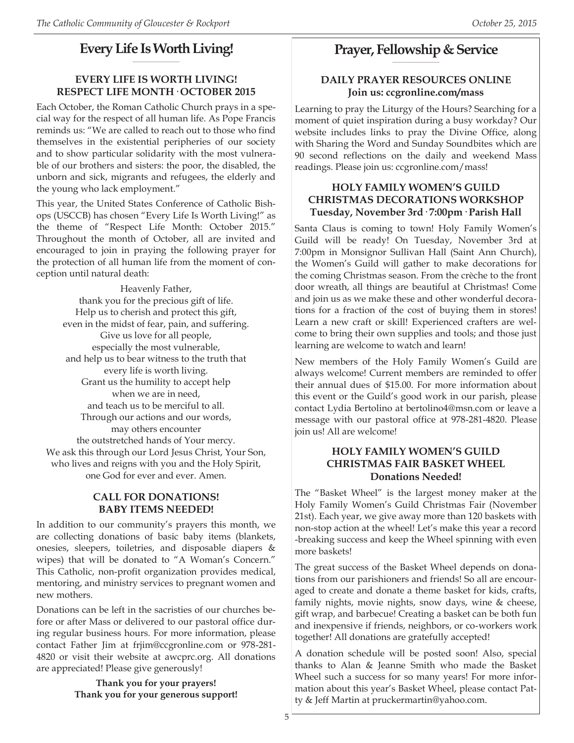#### **Every Life Is Worth Living! \_\_\_\_\_\_\_\_\_\_\_\_\_\_\_\_\_\_\_\_**

## **EVERY LIFE IS WORTH LIVING! RESPECT LIFE MONTH· OCTOBER 2015**

Each October, the Roman Catholic Church prays in a special way for the respect of all human life. As Pope Francis reminds us: "We are called to reach out to those who find themselves in the existential peripheries of our society and to show particular solidarity with the most vulnerable of our brothers and sisters: the poor, the disabled, the unborn and sick, migrants and refugees, the elderly and the young who lack employment."

This year, the United States Conference of Catholic Bishops (USCCB) has chosen "Every Life Is Worth Living!" as the theme of "Respect Life Month: October 2015." Throughout the month of October, all are invited and encouraged to join in praying the following prayer for the protection of all human life from the moment of conception until natural death:

Heavenly Father, thank you for the precious gift of life. Help us to cherish and protect this gift, even in the midst of fear, pain, and suffering. Give us love for all people, especially the most vulnerable, and help us to bear witness to the truth that every life is worth living. Grant us the humility to accept help when we are in need, and teach us to be merciful to all. Through our actions and our words, may others encounter the outstretched hands of Your mercy. We ask this through our Lord Jesus Christ, Your Son, who lives and reigns with you and the Holy Spirit, one God for ever and ever. Amen.

## **CALL FOR DONATIONS! BABY ITEMS NEEDED!**

In addition to our community's prayers this month, we are collecting donations of basic baby items (blankets, onesies, sleepers, toiletries, and disposable diapers & wipes) that will be donated to "A Woman's Concern." This Catholic, non-profit organization provides medical, mentoring, and ministry services to pregnant women and new mothers.

Donations can be left in the sacristies of our churches before or after Mass or delivered to our pastoral office during regular business hours. For more information, please contact Father Jim at frjim@ccgronline.com or 978-281- 4820 or visit their website at awcprc.org. All donations are appreciated! Please give generously!

> **Thank you for your prayers! Thank you for your generous support!**

#### **Prayer, Fellowship & Service \_\_\_\_\_\_\_\_\_\_\_\_\_\_\_\_\_\_\_\_**

## **DAILY PRAYER RESOURCES ONLINE Join us: ccgronline.com/mass**

Learning to pray the Liturgy of the Hours? Searching for a moment of quiet inspiration during a busy workday? Our website includes links to pray the Divine Office, along with Sharing the Word and Sunday Soundbites which are 90 second reflections on the daily and weekend Mass readings. Please join us: ccgronline.com/mass!

## **HOLY FAMILY WOMEN'S GUILD CHRISTMAS DECORATIONS WORKSHOP Tuesday, November 3rd· 7:00pm· Parish Hall**

Santa Claus is coming to town! Holy Family Women's Guild will be ready! On Tuesday, November 3rd at 7:00pm in Monsignor Sullivan Hall (Saint Ann Church), the Women's Guild will gather to make decorations for the coming Christmas season. From the crèche to the front door wreath, all things are beautiful at Christmas! Come and join us as we make these and other wonderful decorations for a fraction of the cost of buying them in stores! Learn a new craft or skill! Experienced crafters are welcome to bring their own supplies and tools; and those just learning are welcome to watch and learn!

New members of the Holy Family Women's Guild are always welcome! Current members are reminded to offer their annual dues of \$15.00. For more information about this event or the Guild's good work in our parish, please contact Lydia Bertolino at bertolino4@msn.com or leave a message with our pastoral office at 978-281-4820. Please join us! All are welcome!

## **HOLY FAMILY WOMEN'S GUILD CHRISTMAS FAIR BASKET WHEEL Donations Needed!**

The "Basket Wheel" is the largest money maker at the Holy Family Women's Guild Christmas Fair (November 21st). Each year, we give away more than 120 baskets with non-stop action at the wheel! Let's make this year a record -breaking success and keep the Wheel spinning with even more baskets!

The great success of the Basket Wheel depends on donations from our parishioners and friends! So all are encouraged to create and donate a theme basket for kids, crafts, family nights, movie nights, snow days, wine & cheese, gift wrap, and barbecue! Creating a basket can be both fun and inexpensive if friends, neighbors, or co-workers work together! All donations are gratefully accepted!

A donation schedule will be posted soon! Also, special thanks to Alan & Jeanne Smith who made the Basket Wheel such a success for so many years! For more information about this year's Basket Wheel, please contact Patty & Jeff Martin at pruckermartin@yahoo.com.